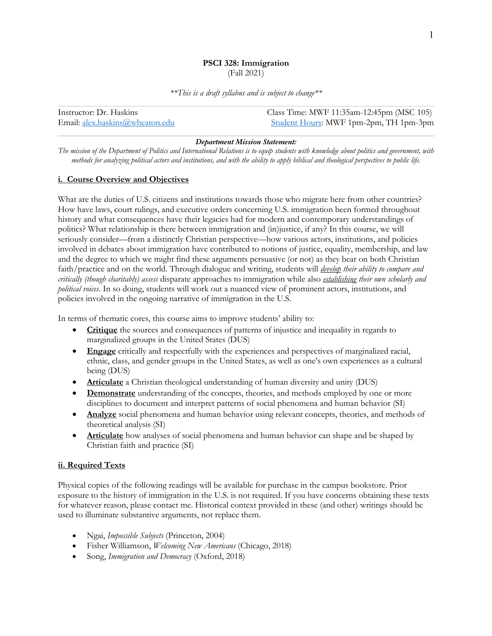#### **PSCI 328: Immigration**  (Fall 2021)

*\*\*This is a draft syllabus and is subject to change\*\**

| Class Time: MWF 11:35am-12:45pm (MSC 105)<br>Instructor: Dr. Haskins |                                        |
|----------------------------------------------------------------------|----------------------------------------|
| Email: alex.haskins@wheaton.edu                                      | Student Hours: MWF 1pm-2pm, TH 1pm-3pm |

#### *Department Mission Statement:*

*The mission of the Department of Politics and International Relations is to equip students with knowledge about politics and government, with methods for analyzing political actors and institutions, and with the ability to apply biblical and theological perspectives to public life.* 

# **i. Course Overview and Objectives**

What are the duties of U.S. citizens and institutions towards those who migrate here from other countries? How have laws, court rulings, and executive orders concerning U.S. immigration been formed throughout history and what consequences have their legacies had for modern and contemporary understandings of politics? What relationship is there between immigration and (in)justice, if any? In this course, we will seriously consider—from a distinctly Christian perspective—how various actors, institutions, and policies involved in debates about immigration have contributed to notions of justice, equality, membership, and law and the degree to which we might find these arguments persuasive (or not) as they bear on both Christian faith/practice and on the world. Through dialogue and writing, students will *develop their ability to compare and critically (though charitably) assess* disparate approaches to immigration while also *establishing their own scholarly and political voices*. In so doing, students will work out a nuanced view of prominent actors, institutions, and policies involved in the ongoing narrative of immigration in the U.S.

In terms of thematic cores, this course aims to improve students' ability to:

- **Critique** the sources and consequences of patterns of injustice and inequality in regards to marginalized groups in the United States (DUS)
- **Engage** critically and respectfully with the experiences and perspectives of marginalized racial, ethnic, class, and gender groups in the United States, as well as one's own experiences as a cultural being (DUS)
- **Articulate** a Christian theological understanding of human diversity and unity (DUS)
- **Demonstrate** understanding of the concepts, theories, and methods employed by one or more disciplines to document and interpret patterns of social phenomena and human behavior (SI)
- **Analyze** social phenomena and human behavior using relevant concepts, theories, and methods of theoretical analysis (SI)
- **Articulate** how analyses of social phenomena and human behavior can shape and be shaped by Christian faith and practice (SI)

# **ii. Required Texts**

Physical copies of the following readings will be available for purchase in the campus bookstore. Prior exposure to the history of immigration in the U.S. is not required. If you have concerns obtaining these texts for whatever reason, please contact me. Historical context provided in these (and other) writings should be used to illuminate substantive arguments, not replace them.

- Ngai, *Impossible Subjects* (Princeton, 2004)
- Fisher Williamson, *Welcoming New Americans* (Chicago, 2018)
- Song, *Immigration and Democracy* (Oxford, 2018)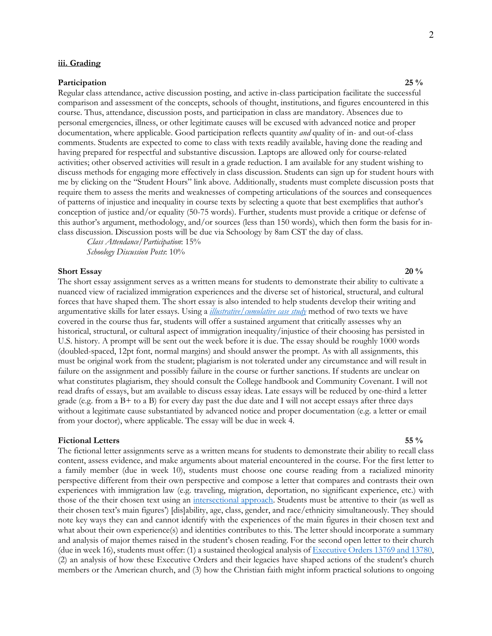#### **iii. Grading**

#### **Participation** 25 % **25** %

Regular class attendance, active discussion posting, and active in-class participation facilitate the successful comparison and assessment of the concepts, schools of thought, institutions, and figures encountered in this course. Thus, attendance, discussion posts, and participation in class are mandatory. Absences due to personal emergencies, illness, or other legitimate causes will be excused with advanced notice and proper documentation, where applicable. Good participation reflects quantity *and* quality of in- and out-of-class comments. Students are expected to come to class with texts readily available, having done the reading and having prepared for respectful and substantive discussion. Laptops are allowed only for course-related activities; other observed activities will result in a grade reduction. I am available for any student wishing to discuss methods for engaging more effectively in class discussion. Students can sign up for student hours with me by clicking on the "Student Hours" link above. Additionally, students must complete discussion posts that require them to assess the merits and weaknesses of competing articulations of the sources and consequences of patterns of injustice and inequality in course texts by selecting a quote that best exemplifies that author's conception of justice and/or equality (50-75 words). Further, students must provide a critique or defense of this author's argument, methodology, and/or sources (less than 150 words), which then form the basis for inclass discussion. Discussion posts will be due via Schoology by 8am CST the day of class.

*Class Attendance/Participation*: 15% *Schoology Discussion Posts*: 10%

#### **Short Essay 20** % **20** %

The short essay assignment serves as a written means for students to demonstrate their ability to cultivate a nuanced view of racialized immigration experiences and the diverse set of historical, structural, and cultural forces that have shaped them. The short essay is also intended to help students develop their writing and argumentative skills for later essays. Using a *illustrative/cumulative case study* method of two texts we have covered in the course thus far, students will offer a sustained argument that critically assesses why an historical, structural, or cultural aspect of immigration inequality/injustice of their choosing has persisted in U.S. history. A prompt will be sent out the week before it is due. The essay should be roughly 1000 words (doubled-spaced, 12pt font, normal margins) and should answer the prompt. As with all assignments, this must be original work from the student; plagiarism is not tolerated under any circumstance and will result in failure on the assignment and possibly failure in the course or further sanctions. If students are unclear on what constitutes plagiarism, they should consult the College handbook and Community Covenant. I will not read drafts of essays, but am available to discuss essay ideas. Late essays will be reduced by one-third a letter grade (e.g. from a B+ to a B) for every day past the due date and I will not accept essays after three days without a legitimate cause substantiated by advanced notice and proper documentation (e.g. a letter or email from your doctor), where applicable. The essay will be due in week 4.

#### **Fictional Letters 55 %**

The fictional letter assignments serve as a written means for students to demonstrate their ability to recall class content, assess evidence, and make arguments about material encountered in the course. For the first letter to a family member (due in week 10), students must choose one course reading from a racialized minority perspective different from their own perspective and compose a letter that compares and contrasts their own experiences with immigration law (e.g. traveling, migration, deportation, no significant experience, etc.) with those of the their chosen text using an intersectional approach. Students must be attentive to their (as well as their chosen text's main figures') [dis]ability, age, class, gender, and race/ethnicity simultaneously. They should note key ways they can and cannot identify with the experiences of the main figures in their chosen text and what about their own experience(s) and identities contributes to this. The letter should incorporate a summary and analysis of major themes raised in the student's chosen reading. For the second open letter to their church (due in week 16), students must offer: (1) a sustained theological analysis of Executive Orders 13769 and 13780, (2) an analysis of how these Executive Orders and their legacies have shaped actions of the student's church members or the American church, and (3) how the Christian faith might inform practical solutions to ongoing

2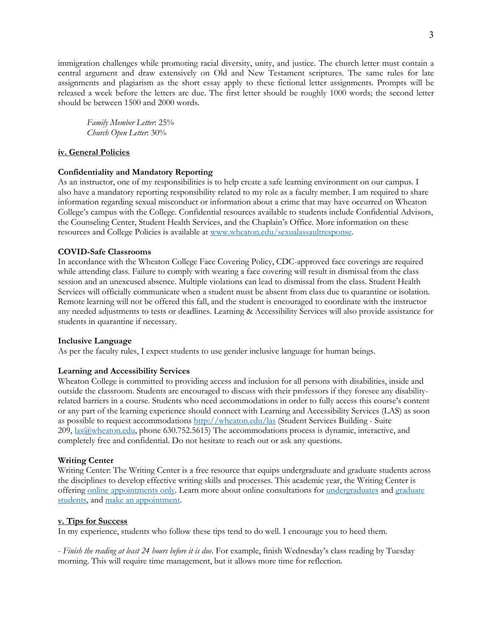immigration challenges while promoting racial diversity, unity, and justice. The church letter must contain a central argument and draw extensively on Old and New Testament scriptures. The same rules for late assignments and plagiarism as the short essay apply to these fictional letter assignments. Prompts will be released a week before the letters are due. The first letter should be roughly 1000 words; the second letter should be between 1500 and 2000 words.

*Family Member Letter*: 25% *Church Open Letter*: 30%

# **iv. General Policies**

# **Confidentiality and Mandatory Reporting**

As an instructor, one of my responsibilities is to help create a safe learning environment on our campus. I also have a mandatory reporting responsibility related to my role as a faculty member. I am required to share information regarding sexual misconduct or information about a crime that may have occurred on Wheaton College's campus with the College. Confidential resources available to students include Confidential Advisors, the Counseling Center, Student Health Services, and the Chaplain's Office. More information on these resources and College Policies is available at www.wheaton.edu/sexualassaultresponse.

# **COVID-Safe Classrooms**

In accordance with the Wheaton College Face Covering Policy, CDC-approved face coverings are required while attending class. Failure to comply with wearing a face covering will result in dismissal from the class session and an unexcused absence. Multiple violations can lead to dismissal from the class. Student Health Services will officially communicate when a student must be absent from class due to quarantine or isolation. Remote learning will not be offered this fall, and the student is encouraged to coordinate with the instructor any needed adjustments to tests or deadlines. Learning & Accessibility Services will also provide assistance for students in quarantine if necessary.

### **Inclusive Language**

As per the faculty rules, I expect students to use gender inclusive language for human beings.

### **Learning and Accessibility Services**

Wheaton College is committed to providing access and inclusion for all persons with disabilities, inside and outside the classroom. Students are encouraged to discuss with their professors if they foresee any disabilityrelated barriers in a course. Students who need accommodations in order to fully access this course's content or any part of the learning experience should connect with Learning and Accessibility Services (LAS) as soon as possible to request accommodations http://wheaton.edu/las (Student Services Building - Suite 209, las@wheaton.edu, phone 630.752.5615) The accommodations process is dynamic, interactive, and completely free and confidential. Do not hesitate to reach out or ask any questions.

### **Writing Center**

Writing Center: The Writing Center is a free resource that equips undergraduate and graduate students across the disciplines to develop effective writing skills and processes. This academic year, the Writing Center is offering online appointments only. Learn more about online consultations for undergraduates and graduate students, and make an appointment.

### **v. Tips for Success**

In my experience, students who follow these tips tend to do well. I encourage you to heed them.

- *Finish the reading at least 24 hours before it is due*. For example, finish Wednesday's class reading by Tuesday morning. This will require time management, but it allows more time for reflection.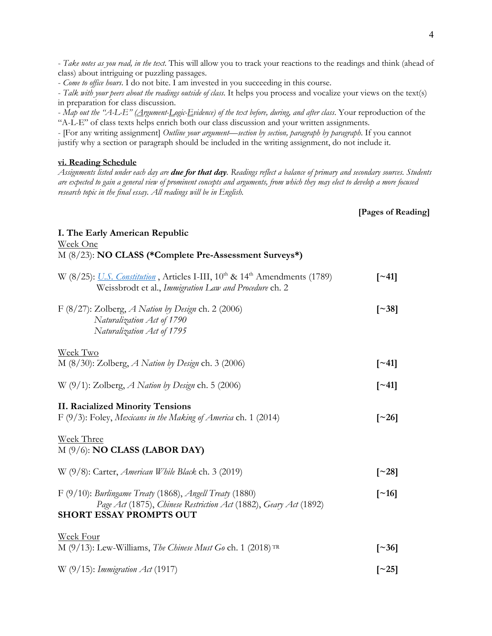- *Take notes as you read, in the text*. This will allow you to track your reactions to the readings and think (ahead of class) about intriguing or puzzling passages.

- *Come to office hours*. I do not bite. I am invested in you succeeding in this course.

- *Talk with your peers about the readings outside of class*. It helps you process and vocalize your views on the text(s) in preparation for class discussion.

- *Map out the "A-L-E" (Argument-Logic-Evidence) of the text before, during, and after class*. Your reproduction of the "A-L-E" of class texts helps enrich both our class discussion and your written assignments.

- [For any writing assignment] *Outline your argument—section by section, paragraph by paragraph*. If you cannot justify why a section or paragraph should be included in the writing assignment, do not include it.

#### **vi. Reading Schedule**

*Assignments listed under each day are due for that day. Readings reflect a balance of primary and secondary sources. Students are expected to gain a general view of prominent concepts and arguments, from which they may elect to develop a more focused research topic in the final essay. All readings will be in English.*

# **[Pages of Reading]**

#### **I. The Early American Republic**

| Week One<br>M (8/23): NO CLASS (*Complete Pre-Assessment Surveys*)                                                                                                |                     |
|-------------------------------------------------------------------------------------------------------------------------------------------------------------------|---------------------|
| W (8/25): U.S. Constitution, Articles I-III, 10 <sup>th</sup> & 14 <sup>th</sup> Amendments (1789)<br>Weissbrodt et al., Immigration Law and Procedure ch. 2      | $\lceil$ ~41]       |
| F (8/27): Zolberg, A Nation by Design ch. 2 (2006)<br>Naturalization Act of 1790<br>Naturalization Act of 1795                                                    | $\lceil 38 \rceil$  |
| Week Two<br>M $(8/30)$ : Zolberg, A Nation by Design ch. 3 (2006)                                                                                                 | $\lceil 241 \rceil$ |
| W $(9/1)$ : Zolberg, A Nation by Design ch. 5 (2006)                                                                                                              | $\lceil -41 \rceil$ |
| <b>II. Racialized Minority Tensions</b><br>F (9/3): Foley, Mexicans in the Making of America ch. 1 (2014)                                                         | $\lceil 26 \rceil$  |
| Week Three<br>$M(9/6)$ : <b>NO CLASS (LABOR DAY)</b>                                                                                                              |                     |
| W $(9/8)$ : Carter, <i>American While Black</i> ch. 3 (2019)                                                                                                      | $\lceil 28 \rceil$  |
| $F(9/10)$ : Burlingame Treaty (1868), Angell Treaty (1880)<br>Page Act (1875), Chinese Restriction Act (1882), Geary Act (1892)<br><b>SHORT ESSAY PROMPTS OUT</b> | $\lceil$ ~16]       |
| <b>Week Four</b><br>M (9/13): Lew-Williams, The Chinese Must Go ch. 1 (2018) TR                                                                                   | $\lceil 36 \rceil$  |
| W $(9/15)$ : Immigration Act (1917)                                                                                                                               | $[\sim]25]$         |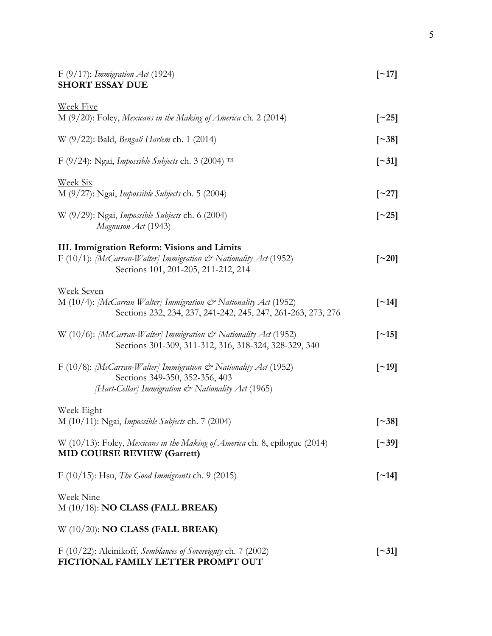| $F(9/17)$ : Immigration Act (1924)<br><b>SHORT ESSAY DUE</b>                                                                                   |                          |
|------------------------------------------------------------------------------------------------------------------------------------------------|--------------------------|
| <b>Week Five</b>                                                                                                                               |                          |
| M $(9/20)$ : Foley, Mexicans in the Making of America ch. 2 (2014)                                                                             | $\lceil 25 \rceil$       |
| W (9/22): Bald, <i>Bengali Harlem</i> ch. 1 (2014)                                                                                             | $\lceil 38 \rceil$       |
| F (9/24): Ngai, Impossible Subjects ch. 3 (2004) TR                                                                                            | $\lceil 31 \rceil$       |
| <u>Week Six</u><br>$M(9/27)$ : Ngai, Impossible Subjects ch. 5 (2004)                                                                          | $\lceil 27 \rceil$       |
|                                                                                                                                                |                          |
| W $(9/29)$ : Ngai, Impossible Subjects ch. 6 (2004)<br>Magnuson Act (1943)                                                                     | $\lceil 25 \rceil$       |
| III. Immigration Reform: Visions and Limits                                                                                                    |                          |
| F (10/1): [McCarran-Walter] Immigration $\mathcal{Q}^*$ Nationality Act (1952)                                                                 | $\lceil 20 \rceil$       |
| Sections 101, 201-205, 211-212, 214                                                                                                            |                          |
| <b>Week Seven</b>                                                                                                                              |                          |
| M (10/4): [McCarran-Walter] Immigration $\mathcal{Q}^*$ Nationality Act (1952)<br>Sections 232, 234, 237, 241-242, 245, 247, 261-263, 273, 276 | $\lceil$ ~14]            |
| W (10/6): [McCarran-Walter] Immigration & Nationality Act (1952)                                                                               | $[\sim]15]$              |
| Sections 301-309, 311-312, 316, 318-324, 328-329, 340                                                                                          |                          |
| F (10/8): [McCarran-Walter] Immigration $\mathcal{Q}^*$ Nationality Act (1952)                                                                 | $\lceil$ ~19]            |
| Sections 349-350, 352-356, 403                                                                                                                 |                          |
| [Hart-Cellar] Immigration & Nationality Act (1965)                                                                                             |                          |
| <b>Week Eight</b>                                                                                                                              |                          |
| M (10/11): Ngai, Impossible Subjects ch. 7 (2004)                                                                                              | $\lceil 38 \rceil$       |
| W (10/13): Foley, Mexicans in the Making of America ch. 8, epilogue (2014)<br><b>MID COURSE REVIEW (Garrett)</b>                               | $\lceil 39 \rceil$       |
| F $(10/15)$ : Hsu, <i>The Good Immigrants</i> ch. 9 $(2015)$                                                                                   | $\lceil$ ~14]            |
| <b>Week Nine</b><br>$M(10/18)$ : NO CLASS (FALL BREAK)                                                                                         |                          |
| W $(10/20)$ : NO CLASS (FALL BREAK)                                                                                                            |                          |
| F (10/22): Aleinikoff, Semblances of Sovereignty ch. 7 (2002)                                                                                  | $\left[ \sim 31 \right]$ |

**FICTIONAL FAMILY LETTER PROMPT OUT**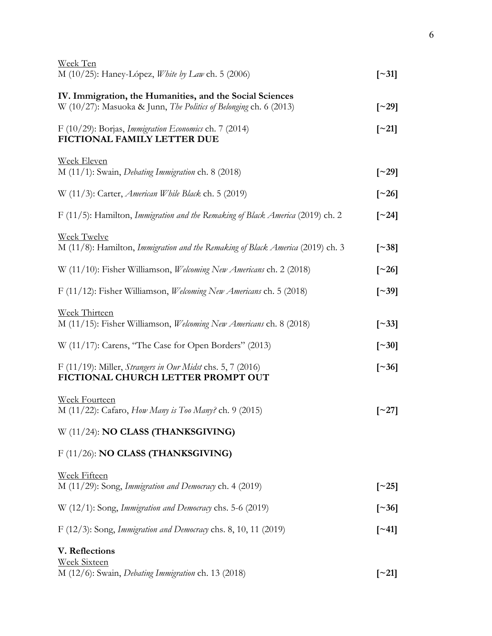| Week Ten<br>M (10/25): Haney-López, <i>White by Law</i> ch. 5 (2006)                                                                 | $\lceil 31 \rceil$  |
|--------------------------------------------------------------------------------------------------------------------------------------|---------------------|
| IV. Immigration, the Humanities, and the Social Sciences<br>W (10/27): Masuoka & Junn, <i>The Politics of Belonging</i> ch. 6 (2013) | $\lceil 29 \rceil$  |
| F (10/29): Borjas, Immigration Economics ch. 7 (2014)<br>FICTIONAL FAMILY LETTER DUE                                                 | $\lceil 21 \rceil$  |
| Week Eleven<br>M $(11/1)$ : Swain, <i>Debating Immigration</i> ch. 8 $(2018)$                                                        | $\lceil 29 \rceil$  |
| W $(11/3)$ : Carter, <i>American While Black</i> ch. 5 (2019)                                                                        | $\lceil 26 \rceil$  |
| F (11/5): Hamilton, Immigration and the Remaking of Black America (2019) ch. 2                                                       | $\lceil 24 \rceil$  |
| <b>Week Twelve</b><br>M (11/8): Hamilton, Immigration and the Remaking of Black America (2019) ch. 3                                 | $\lceil 38 \rceil$  |
| W (11/10): Fisher Williamson, Welcoming New Americans ch. 2 (2018)                                                                   | $\lceil 26 \rceil$  |
| F (11/12): Fisher Williamson, <i>Welcoming New Americans</i> ch. 5 (2018)                                                            | $\lceil 39 \rceil$  |
| Week Thirteen<br>M (11/15): Fisher Williamson, Welcoming New Americans ch. 8 (2018)                                                  | $\lceil 33 \rceil$  |
| $W(11/17)$ : Carens, "The Case for Open Borders" (2013)                                                                              | $\lceil -30 \rceil$ |
| F (11/19): Miller, Strangers in Our Midst chs. 5, 7 (2016)<br>FICTIONAL CHURCH LETTER PROMPT OUT                                     | $\lceil 36 \rceil$  |
| Week Fourteen<br>M (11/22): Cafaro, How Many is Too Many? ch. 9 (2015)                                                               | $\lceil 27 \rceil$  |
| W (11/24): NO CLASS (THANKSGIVING)                                                                                                   |                     |
| F (11/26): NO CLASS (THANKSGIVING)                                                                                                   |                     |
| <b>Week Fifteen</b><br>M (11/29): Song, Immigration and Democracy ch. 4 (2019)                                                       | $\lceil 25 \rceil$  |
| W (12/1): Song, Immigration and Democracy chs. 5-6 (2019)                                                                            | $\lceil 36 \rceil$  |
| F $(12/3)$ : Song, Immigration and Democracy chs. 8, 10, 11 (2019)                                                                   | $\lceil 241 \rceil$ |
| V. Reflections                                                                                                                       |                     |
| <b>Week Sixteen</b><br>M (12/6): Swain, <i>Debating Immigration</i> ch. 13 (2018)                                                    | $\lceil 21 \rceil$  |